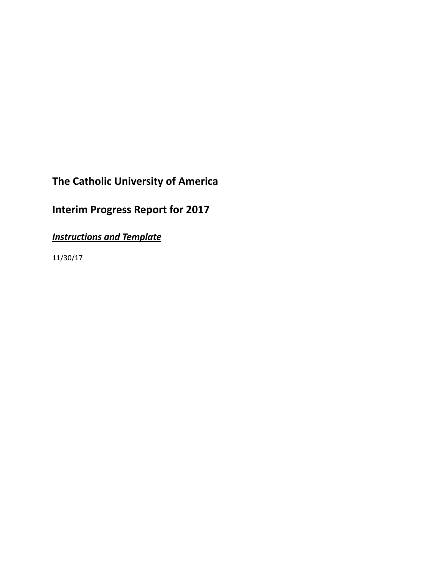# **The Catholic University of America**

# **Interim Progress Report for 2017**

*Instructions and Template*

11/30/17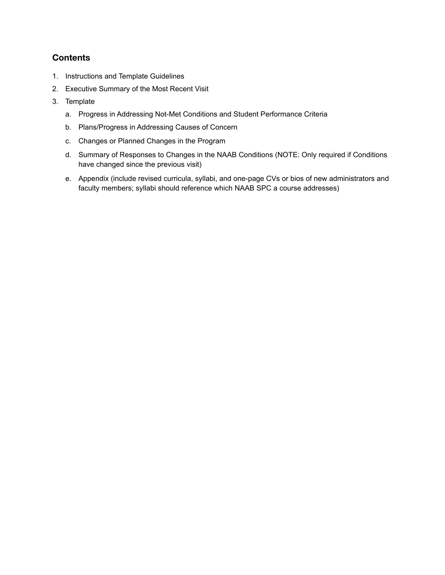## **Contents**

- 1. Instructions and Template Guidelines
- 2. Executive Summary of the Most Recent Visit
- 3. Template
	- a. Progress in Addressing Not-Met Conditions and Student Performance Criteria
	- b. Plans/Progress in Addressing Causes of Concern
	- c. Changes or Planned Changes in the Program
	- d. Summary of Responses to Changes in the NAAB Conditions (NOTE: Only required if Conditions have changed since the previous visit)
	- e. Appendix (include revised curricula, syllabi, and one-page CVs or bios of new administrators and faculty members; syllabi should reference which NAAB SPC a course addresses)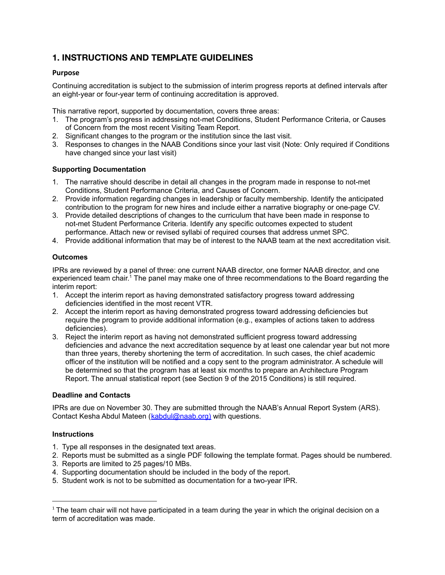## **1. INSTRUCTIONS AND TEMPLATE GUIDELINES**

#### **Purpose**

Continuing accreditation is subject to the submission of interim progress reports at defined intervals after an eight-year or four-year term of continuing accreditation is approved.

This narrative report, supported by documentation, covers three areas:

- 1. The program's progress in addressing not-met Conditions, Student Performance Criteria, or Causes of Concern from the most recent Visiting Team Report.
- 2. Significant changes to the program or the institution since the last visit.
- 3. Responses to changes in the NAAB Conditions since your last visit (Note: Only required if Conditions have changed since your last visit)

#### **Supporting Documentation**

- 1. The narrative should describe in detail all changes in the program made in response to not-met Conditions, Student Performance Criteria, and Causes of Concern.
- 2. Provide information regarding changes in leadership or faculty membership. Identify the anticipated contribution to the program for new hires and include either a narrative biography or one-page CV.
- 3. Provide detailed descriptions of changes to the curriculum that have been made in response to not-met Student Performance Criteria. Identify any specific outcomes expected to student performance. Attach new or revised syllabi of required courses that address unmet SPC.
- 4. Provide additional information that may be of interest to the NAAB team at the next accreditation visit.

#### **Outcomes**

IPRs are reviewed by a panel of three: one current NAAB director, one former NAAB director, and one experienced team chair.<sup>1</sup> The panel may make one of three recommendations to the Board regarding the interim report:

- 1. Accept the interim report as having demonstrated satisfactory progress toward addressing deficiencies identified in the most recent VTR.
- 2. Accept the interim report as having demonstrated progress toward addressing deficiencies but require the program to provide additional information (e.g., examples of actions taken to address deficiencies).
- 3. Reject the interim report as having not demonstrated sufficient progress toward addressing deficiencies and advance the next accreditation sequence by at least one calendar year but not more than three years, thereby shortening the term of accreditation. In such cases, the chief academic officer of the institution will be notified and a copy sent to the program administrator. A schedule will be determined so that the program has at least six months to prepare an Architecture Program Report. The annual statistical report (see Section 9 of the 2015 Conditions) is still required.

#### **Deadline and Contacts**

IPRs are due on November 30. They are submitted through the NAAB's Annual Report System (ARS). Contact Kesha Abdul Mateen (**[kabdul@naab.org](mailto:kabdul@naab.org)**) with questions.

#### **Instructions**

- 1. Type all responses in the designated text areas.
- 2. Reports must be submitted as a single PDF following the template format. Pages should be numbered.
- 3. Reports are limited to 25 pages/10 MBs.
- 4. Supporting documentation should be included in the body of the report.
- 5. Student work is not to be submitted as documentation for a two-year IPR.

 $1$  The team chair will not have participated in a team during the year in which the original decision on a term of accreditation was made.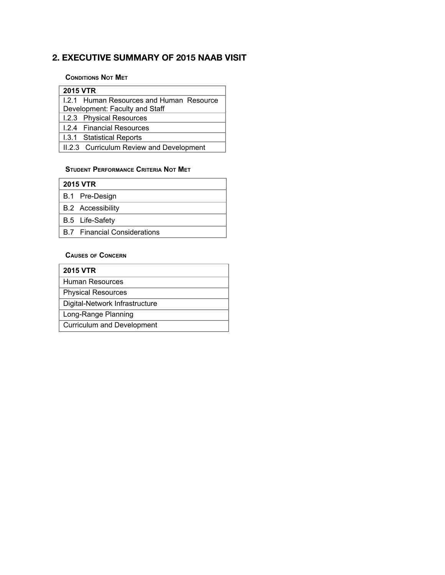# **2. EXECUTIVE SUMMARY OF 2015 NAAB VISIT**

#### **CONDITIONS NOT MET**

| <b>2015 VTR</b>                          |  |  |
|------------------------------------------|--|--|
| 1.2.1 Human Resources and Human Resource |  |  |
| Development: Faculty and Staff           |  |  |
| 1.2.3 Physical Resources                 |  |  |
| 1.2.4 Financial Resources                |  |  |
| 1.3.1 Statistical Reports                |  |  |
| II.2.3 Curriculum Review and Development |  |  |

## **STUDENT PERFORMANCE CRITERIA NOT MET**

| <b>2015 VTR</b> |                                     |  |
|-----------------|-------------------------------------|--|
|                 | B.1 Pre-Design                      |  |
|                 | <b>B.2</b> Accessibility            |  |
|                 | B.5 Life-Safety                     |  |
|                 | <b>B.7</b> Financial Considerations |  |
|                 |                                     |  |

## **CAUSES OF CONCERN**

| <b>2015 VTR</b>                |
|--------------------------------|
| Human Resources                |
| <b>Physical Resources</b>      |
| Digital-Network Infrastructure |
| Long-Range Planning            |
| Curriculum and Development     |
|                                |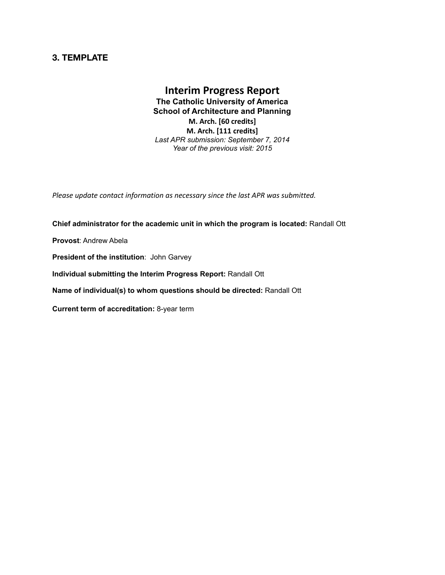## **3. TEMPLATE**

## **Interim Progress Report The Catholic University of America School of Architecture and Planning M. Arch. [60 credits] M. Arch. [111 credits]** *Last APR submission: September 7, 2014*

*Year of the previous visit: 2015*

*Please update contact information as necessary since the last APR was submitted.*

**Chief administrator for the academic unit in which the program is located:** Randall Ott **Provost**: Andrew Abela **President of the institution**: John Garvey **Individual submitting the Interim Progress Report:** Randall Ott **Name of individual(s) to whom questions should be directed:** Randall Ott **Current term of accreditation:** 8-year term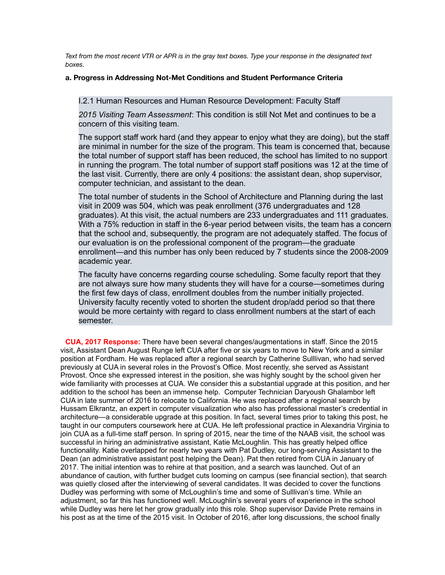*Text from the most recent VTR or APR is in the gray text boxes. Type your response in the designated text boxes.*

#### **a. Progress in Addressing Not-Met Conditions and Student Performance Criteria**

I.2.1 Human Resources and Human Resource Development: Faculty Staff

*2015 Visiting Team Assessment*: This condition is still Not Met and continues to be a concern of this visiting team.

The support staff work hard (and they appear to enjoy what they are doing), but the staff are minimal in number for the size of the program. This team is concerned that, because the total number of support staff has been reduced, the school has limited to no support in running the program. The total number of support staff positions was 12 at the time of the last visit. Currently, there are only 4 positions: the assistant dean, shop supervisor, computer technician, and assistant to the dean.

The total number of students in the School of Architecture and Planning during the last visit in 2009 was 504, which was peak enrollment (376 undergraduates and 128 graduates). At this visit, the actual numbers are 233 undergraduates and 111 graduates. With a 75% reduction in staff in the 6-year period between visits, the team has a concern that the school and, subsequently, the program are not adequately staffed. The focus of our evaluation is on the professional component of the program—the graduate enrollment—and this number has only been reduced by 7 students since the 2008-2009 academic year.

The faculty have concerns regarding course scheduling. Some faculty report that they are not always sure how many students they will have for a course—sometimes during the first few days of class, enrollment doubles from the number initially projected. University faculty recently voted to shorten the student drop/add period so that there would be more certainty with regard to class enrollment numbers at the start of each semester.

**CUA, 2017 Response:** There have been several changes/augmentations in staff. Since the 2015 visit, Assistant Dean August Runge left CUA after five or six years to move to New York and a similar position at Fordham. He was replaced after a regional search by Catherine Sulllivan, who had served previously at CUA in several roles in the Provost's Office. Most recently, she served as Assistant Provost. Once she expressed interest in the position, she was highly sought by the school given her wide familiarity with processes at CUA. We consider this a substantial upgrade at this position, and her addition to the school has been an immense help. Computer Technician Daryoush Ghalambor left CUA in late summer of 2016 to relocate to California. He was replaced after a regional search by Hussam Elkrantz, an expert in computer visualization who also has professional master's credential in architecture—a considerable upgrade at this position. In fact, several times prior to taking this post, he taught in our computers coursework here at CUA. He left professional practice in Alexandria Virginia to join CUA as a full-time staff person. In spring of 2015, near the time of the NAAB visit, the school was successful in hiring an administrative assistant, Katie McLoughlin. This has greatly helped office functionality. Katie overlapped for nearly two years with Pat Dudley, our long-serving Assistant to the Dean (an administrative assistant post helping the Dean). Pat then retired from CUA in January of 2017. The initial intention was to rehire at that position, and a search was launched. Out of an abundance of caution, with further budget cuts looming on campus (see financial section), that search was quietly closed after the interviewing of several candidates. It was decided to cover the functions Dudley was performing with some of McLoughlin's time and some of Sulllivan's time. While an adjustment, so far this has functioned well. McLoughlin's several years of experience in the school while Dudley was here let her grow gradually into this role. Shop supervisor Davide Prete remains in his post as at the time of the 2015 visit. In October of 2016, after long discussions, the school finally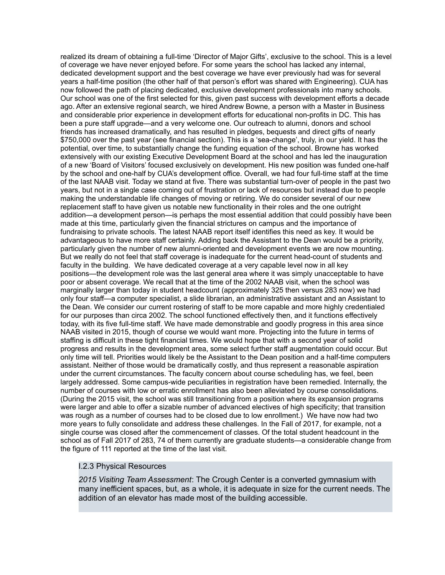realized its dream of obtaining a full-time 'Director of Major Gifts', exclusive to the school. This is a level of coverage we have never enjoyed before. For some years the school has lacked any internal, dedicated development support and the best coverage we have ever previously had was for several years a half-time position (the other half of that person's effort was shared with Engineering). CUA has now followed the path of placing dedicated, exclusive development professionals into many schools. Our school was one of the first selected for this, given past success with development efforts a decade ago. After an extensive regional search, we hired Andrew Bowne, a person with a Master in Business and considerable prior experience in development efforts for educational non-profits in DC. This has been a pure staff upgrade—and a very welcome one. Our outreach to alumni, donors and school friends has increased dramatically, and has resulted in pledges, bequests and direct gifts of nearly \$750,000 over the past year (see financial section). This is a 'sea-change', truly, in our yield. It has the potential, over time, to substantially change the funding equation of the school. Browne has worked extensively with our existing Executive Development Board at the school and has led the inauguration of a new 'Board of Visitors' focused exclusively on development. His new position was funded one-half by the school and one-half by CUA's development office. Overall, we had four full-time staff at the time of the last NAAB visit. Today we stand at five. There was substantial turn-over of people in the past two years, but not in a single case coming out of frustration or lack of resources but instead due to people making the understandable life changes of moving or retiring. We do consider several of our new replacement staff to have given us notable new functionality in their roles and the one outright addition—a development person—is perhaps the most essential addition that could possibly have been made at this time, particularly given the financial strictures on campus and the importance of fundraising to private schools. The latest NAAB report itself identifies this need as key. It would be advantageous to have more staff certainly. Adding back the Assistant to the Dean would be a priority, particularly given the number of new alumni-oriented and development events we are now mounting. But we really do not feel that staff coverage is inadequate for the current head-count of students and faculty in the building. We have dedicated coverage at a very capable level now in all key positions—the development role was the last general area where it was simply unacceptable to have poor or absent coverage. We recall that at the time of the 2002 NAAB visit, when the school was marginally larger than today in student headcount (approximately 325 then versus 283 now) we had only four staff—a computer specialist, a slide librarian, an administrative assistant and an Assistant to the Dean. We consider our current rostering of staff to be more capable and more highly credentialed for our purposes than circa 2002. The school functioned effectively then, and it functions effectively today, with its five full-time staff. We have made demonstrable and goodly progress in this area since NAAB visited in 2015, though of course we would want more. Projecting into the future in terms of staffing is difficult in these tight financial times. We would hope that with a second year of solid progress and results in the development area, some select further staff augmentation could occur. But only time will tell. Priorities would likely be the Assistant to the Dean position and a half-time computers assistant. Neither of those would be dramatically costly, and thus represent a reasonable aspiration under the current circumstances. The faculty concern about course scheduling has, we feel, been largely addressed. Some campus-wide peculiarities in registration have been remedied. Internally, the number of courses with low or erratic enrollment has also been alleviated by course consolidations. (During the 2015 visit, the school was still transitioning from a position where its expansion programs were larger and able to offer a sizable number of advanced electives of high specificity; that transition was rough as a number of courses had to be closed due to low enrollment.) We have now had two more years to fully consolidate and address these challenges. In the Fall of 2017, for example, not a single course was closed after the commencement of classes. Of the total student headcount in the school as of Fall 2017 of 283, 74 of them currently are graduate students—a considerable change from the figure of 111 reported at the time of the last visit.

#### I.2.3 Physical Resources

*2015 Visiting Team Assessment*: The Crough Center is a converted gymnasium with many inefficient spaces, but, as a whole, it is adequate in size for the current needs. The addition of an elevator has made most of the building accessible.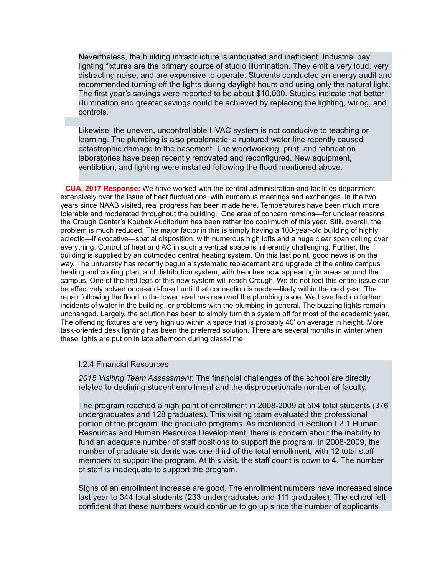Nevertheless, the building infrastructure is antiquated and inefficient. Industrial bay lighting fixtures are the primary source of studio illumination. They emit a very loud, very distracting noise, and are expensive to operate. Students conducted an energy audit and recommended turning off the lights during daylight hours and using only the natural light. The first year's savings were reported to be about \$10,000. Studies indicate that better illumination and greater savings could be achieved by replacing the lighting, wiring, and controls.

Likewise, the uneven, uncontrollable HVAC system is not conducive to teaching or learning. The plumbing is also problematic; a ruptured water line recently caused catastrophic damage to the basement. The woodworking, print, and fabrication laboratories have been recently renovated and reconfigured. New equipment, ventilation, and lighting were installed following the flood mentioned above.

**CUA, 2017 Response:** We have worked with the central administration and facilities department extensively over the issue of heat fluctuations, with numerous meetings and exchanges. In the two years since NAAB visited, real progress has been made here. Temperatures have been much more tolerable and moderated throughout the building. One area of concern remains—for unclear reasons the Crough Center's Koubek Auditorium has been rather too cool much of this year. Still, overall, the problem is much reduced. The major factor in this is simply having a 100-year-old building of highly eclectic—if evocative—spatial disposition, with numerous high lofts and a huge clear span ceiling over everything. Control of heat and AC in such a vertical space is inherently challenging. Further, the building is supplied by an outmoded central heating system. On this last point, good news is on the way. The university has recently begun a systematic replacement and upgrade of the entire campus heating and cooling plant and distribution system, with trenches now appearing in areas around the campus. One of the first legs of this new system will reach Crough. We do not feel this entire issue can be effectively solved once-and-for-all until that connection is made—likely within the next year. The repair following the flood in the lower level has resolved the plumbing issue. We have had no further incidents of water in the building, or problems with the plumbing in general. The buzzing lights remain unchanged. Largely, the solution has been to simply turn this system off for most of the academic year. The offending fixtures are very high up within a space that is probably 40' on average in height. More task-oriented desk lighting has been the preferred solution. There are several months in winter when these lights are put on in late afternoon during class-time.

#### I.2.4 Financial Resources

*2015 Visiting Team Assessment*: The financial challenges of the school are directly related to declining student enrollment and the disproportionate number of faculty.

The program reached a high point of enrollment in 2008-2009 at 504 total students (376 undergraduates and 128 graduates). This visiting team evaluated the professional portion of the program: the graduate programs. As mentioned in Section I 2.1 Human Resources and Human Resource Development, there is concern about the inability to fund an adequate number of staff positions to support the program. In 2008-2009, the number of graduate students was one-third of the total enrollment, with 12 total staff members to support the program. At this visit, the staff count is down to 4. The number of staff is inadequate to support the program.

Signs of an enrollment increase are good. The enrollment numbers have increased since last year to 344 total students (233 undergraduates and 111 graduates). The school felt confident that these numbers would continue to go up since the number of applicants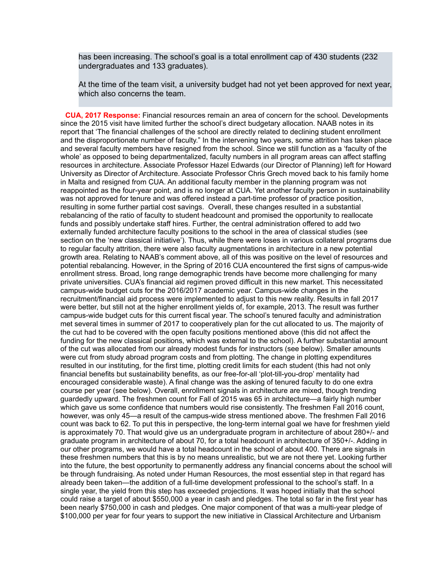has been increasing. The school's goal is a total enrollment cap of 430 students (232 undergraduates and 133 graduates).

At the time of the team visit, a university budget had not yet been approved for next year, which also concerns the team.

**CUA, 2017 Response:** Financial resources remain an area of concern for the school. Developments since the 2015 visit have limited further the school's direct budgetary allocation. NAAB notes in its report that 'The financial challenges of the school are directly related to declining student enrollment and the disproportionate number of faculty." In the intervening two years, some attrition has taken place and several faculty members have resigned from the school. Since we still function as a 'faculty of the whole' as opposed to being departmentalized, faculty numbers in all program areas can affect staffing resources in architecture. Associate Professor Hazel Edwards (our Director of Planning) left for Howard University as Director of Architecture. Associate Professor Chris Grech moved back to his family home in Malta and resigned from CUA. An additional faculty member in the planning program was not reappointed as the four-year point, and is no longer at CUA. Yet another faculty person in sustainability was not approved for tenure and was offered instead a part-time professor of practice position, resulting in some further partial cost savings. Overall, these changes resulted in a substantial rebalancing of the ratio of faculty to student headcount and promised the opportunity to reallocate funds and possibly undertake staff hires. Further, the central administration offered to add two externally funded architecture faculty positions to the school in the area of classical studies (see section on the 'new classical initiative'). Thus, while there were loses in various collateral programs due to regular faculty attrition, there were also faculty augmentations in architecture in a new potential growth area. Relating to NAAB's comment above, all of this was positive on the level of resources and potential rebalancing. However, in the Spring of 2016 CUA encountered the first signs of campus-wide enrollment stress. Broad, long range demographic trends have become more challenging for many private universities. CUA's financial aid regimen proved difficult in this new market. This necessitated campus-wide budget cuts for the 2016/2017 academic year. Campus-wide changes in the recruitment/financial aid process were implemented to adjust to this new reality. Results in fall 2017 were better, but still not at the higher enrollment yields of, for example, 2013. The result was further campus-wide budget cuts for this current fiscal year. The school's tenured faculty and administration met several times in summer of 2017 to cooperatively plan for the cut allocated to us. The majority of the cut had to be covered with the open faculty positions mentioned above (this did not affect the funding for the new classical positions, which was external to the school). A further substantial amount of the cut was allocated from our already modest funds for instructors (see below). Smaller amounts were cut from study abroad program costs and from plotting. The change in plotting expenditures resulted in our instituting, for the first time, plotting credit limits for each student (this had not only financial benefits but sustainability benefits, as our free-for-all 'plot-till-you-drop' mentality had encouraged considerable waste). A final change was the asking of tenured faculty to do one extra course per year (see below). Overall, enrollment signals in architecture are mixed, though trending guardedly upward. The freshmen count for Fall of 2015 was 65 in architecture—a fairly high number which gave us some confidence that numbers would rise consistently. The freshmen Fall 2016 count, however, was only 45—a result of the campus-wide stress mentioned above. The freshmen Fall 2016 count was back to 62. To put this in perspective, the long-term internal goal we have for freshmen yield is approximately 70. That would give us an undergraduate program in architecture of about 280+/- and graduate program in architecture of about 70, for a total headcount in architecture of 350+/-. Adding in our other programs, we would have a total headcount in the school of about 400. There are signals in these freshmen numbers that this is by no means unrealistic, but we are not there yet. Looking further into the future, the best opportunity to permanently address any financial concerns about the school will be through fundraising. As noted under Human Resources, the most essential step in that regard has already been taken—the addition of a full-time development professional to the school's staff. In a single year, the yield from this step has exceeded projections. It was hoped initially that the school could raise a target of about \$550,000 a year in cash and pledges. The total so far in the first year has been nearly \$750,000 in cash and pledges. One major component of that was a multi-year pledge of \$100,000 per year for four years to support the new initiative in Classical Architecture and Urbanism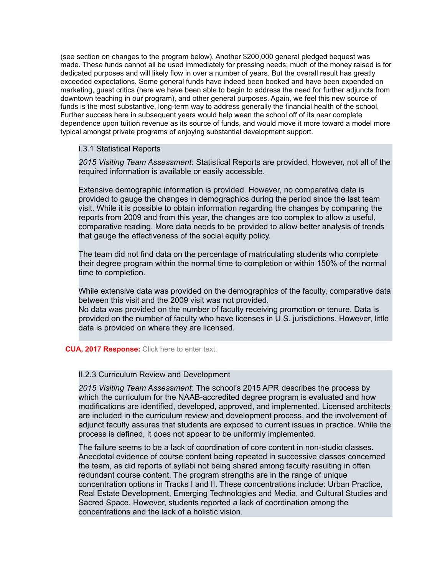(see section on changes to the program below). Another \$200,000 general pledged bequest was made. These funds cannot all be used immediately for pressing needs; much of the money raised is for dedicated purposes and will likely flow in over a number of years. But the overall result has greatly exceeded expectations. Some general funds have indeed been booked and have been expended on marketing, guest critics (here we have been able to begin to address the need for further adjuncts from downtown teaching in our program), and other general purposes. Again, we feel this new source of funds is the most substantive, long-term way to address generally the financial health of the school. Further success here in subsequent years would help wean the school off of its near complete dependence upon tuition revenue as its source of funds, and would move it more toward a model more typical amongst private programs of enjoying substantial development support.

#### I.3.1 Statistical Reports

*2015 Visiting Team Assessment*: Statistical Reports are provided. However, not all of the required information is available or easily accessible.

Extensive demographic information is provided. However, no comparative data is provided to gauge the changes in demographics during the period since the last team visit. While it is possible to obtain information regarding the changes by comparing the reports from 2009 and from this year, the changes are too complex to allow a useful, comparative reading. More data needs to be provided to allow better analysis of trends that gauge the effectiveness of the social equity policy.

The team did not find data on the percentage of matriculating students who complete their degree program within the normal time to completion or within 150% of the normal time to completion.

While extensive data was provided on the demographics of the faculty, comparative data between this visit and the 2009 visit was not provided.

No data was provided on the number of faculty receiving promotion or tenure. Data is provided on the number of faculty who have licenses in U.S. jurisdictions. However, little data is provided on where they are licensed.

#### **CUA, 2017 Response:** Click here to enter text.

#### II.2.3 Curriculum Review and Development

*2015 Visiting Team Assessment*: The school's 2015 APR describes the process by which the curriculum for the NAAB-accredited degree program is evaluated and how modifications are identified, developed, approved, and implemented. Licensed architects are included in the curriculum review and development process, and the involvement of adjunct faculty assures that students are exposed to current issues in practice. While the process is defined, it does not appear to be uniformly implemented.

The failure seems to be a lack of coordination of core content in non-studio classes. Anecdotal evidence of course content being repeated in successive classes concerned the team, as did reports of syllabi not being shared among faculty resulting in often redundant course content. The program strengths are in the range of unique concentration options in Tracks I and II. These concentrations include: Urban Practice, Real Estate Development, Emerging Technologies and Media, and Cultural Studies and Sacred Space. However, students reported a lack of coordination among the concentrations and the lack of a holistic vision.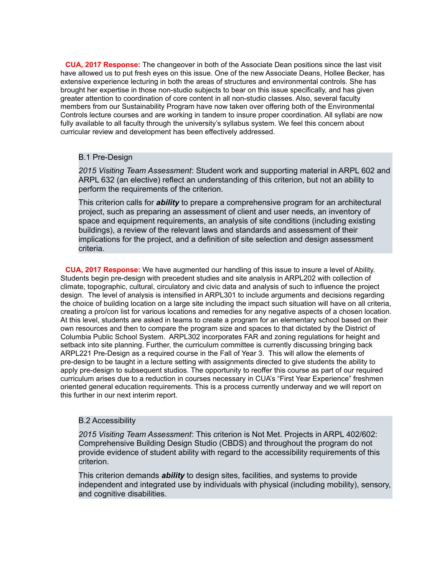**CUA, 2017 Response:** The changeover in both of the Associate Dean positions since the last visit have allowed us to put fresh eyes on this issue. One of the new Associate Deans, Hollee Becker, has extensive experience lecturing in both the areas of structures and environmental controls. She has brought her expertise in those non-studio subjects to bear on this issue specifically, and has given greater attention to coordination of core content in all non-studio classes. Also, several faculty members from our Sustainability Program have now taken over offering both of the Environmental Controls lecture courses and are working in tandem to insure proper coordination. All syllabi are now fully available to all faculty through the university's syllabus system. We feel this concern about curricular review and development has been effectively addressed.

#### B.1 Pre-Design

*2015 Visiting Team Assessment*: Student work and supporting material in ARPL 602 and ARPL 632 (an elective) reflect an understanding of this criterion, but not an ability to perform the requirements of the criterion.

This criterion calls for *ability* to prepare a comprehensive program for an architectural project, such as preparing an assessment of client and user needs, an inventory of space and equipment requirements, an analysis of site conditions (including existing buildings), a review of the relevant laws and standards and assessment of their implications for the project, and a definition of site selection and design assessment criteria.

**CUA, 2017 Response:** We have augmented our handling of this issue to insure a level of Ability. Students begin pre-design with precedent studies and site analysis in ARPL202 with collection of climate, topographic, cultural, circulatory and civic data and analysis of such to influence the project design. The level of analysis is intensified in ARPL301 to include arguments and decisions regarding the choice of building location on a large site including the impact such situation will have on all criteria, creating a pro/con list for various locations and remedies for any negative aspects of a chosen location. At this level, students are asked in teams to create a program for an elementary school based on their own resources and then to compare the program size and spaces to that dictated by the District of Columbia Public School System. ARPL302 incorporates FAR and zoning regulations for height and setback into site planning. Further, the curriculum committee is currently discussing bringing back ARPL221 Pre-Design as a required course in the Fall of Year 3. This will allow the elements of pre-design to be taught in a lecture setting with assignments directed to give students the ability to apply pre-design to subsequent studios. The opportunity to reoffer this course as part of our required curriculum arises due to a reduction in courses necessary in CUA's "First Year Experience" freshmen oriented general education requirements. This is a process currently underway and we will report on this further in our next interim report.

### B.2 Accessibility

*2015 Visiting Team Assessment*: This criterion is Not Met. Projects in ARPL 402/602: Comprehensive Building Design Studio (CBDS) and throughout the program do not provide evidence of student ability with regard to the accessibility requirements of this criterion.

This criterion demands *ability* to design sites, facilities, and systems to provide independent and integrated use by individuals with physical (including mobility), sensory, and cognitive disabilities.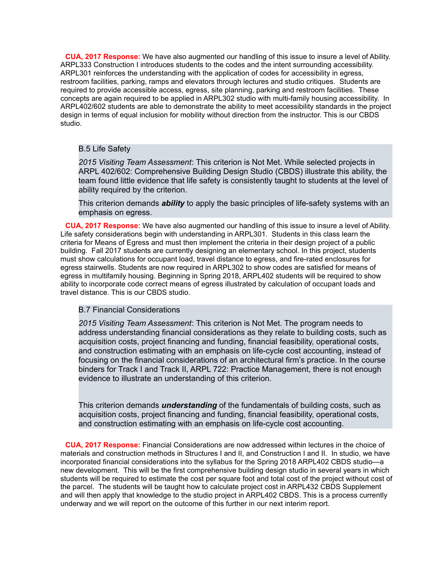**CUA, 2017 Response:** We have also augmented our handling of this issue to insure a level of Ability. ARPL333 Construction I introduces students to the codes and the intent surrounding accessibility. ARPL301 reinforces the understanding with the application of codes for accessibility in egress, restroom facilities, parking, ramps and elevators through lectures and studio critiques. Students are required to provide accessible access, egress, site planning, parking and restroom facilities. These concepts are again required to be applied in ARPL302 studio with multi-family housing accessibility. In ARPL402/602 students are able to demonstrate the ability to meet accessibility standards in the project design in terms of equal inclusion for mobility without direction from the instructor. This is our CBDS studio.

#### B.5 Life Safety

*2015 Visiting Team Assessment*: This criterion is Not Met. While selected projects in ARPL 402/602: Comprehensive Building Design Studio (CBDS) illustrate this ability, the team found little evidence that life safety is consistently taught to students at the level of ability required by the criterion.

This criterion demands *ability* to apply the basic principles of life-safety systems with an emphasis on egress.

**CUA, 2017 Response:** We have also augmented our handling of this issue to insure a level of Ability. Life safety considerations begin with understanding in ARPL301. Students in this class learn the criteria for Means of Egress and must then implement the criteria in their design project of a public building. Fall 2017 students are currently designing an elementary school. In this project, students must show calculations for occupant load, travel distance to egress, and fire-rated enclosures for egress stairwells. Students are now required in ARPL302 to show codes are satisfied for means of egress in multifamily housing. Beginning in Spring 2018, ARPL402 students will be required to show ability to incorporate code correct means of egress illustrated by calculation of occupant loads and travel distance. This is our CBDS studio.

#### B.7 Financial Considerations

*2015 Visiting Team Assessment*: This criterion is Not Met. The program needs to address understanding financial considerations as they relate to building costs, such as acquisition costs, project financing and funding, financial feasibility, operational costs, and construction estimating with an emphasis on life-cycle cost accounting, instead of focusing on the financial considerations of an architectural firm's practice. In the course binders for Track I and Track II, ARPL 722: Practice Management, there is not enough evidence to illustrate an understanding of this criterion.

This criterion demands *understanding* of the fundamentals of building costs, such as acquisition costs, project financing and funding, financial feasibility, operational costs, and construction estimating with an emphasis on life-cycle cost accounting.

**CUA, 2017 Response:** Financial Considerations are now addressed within lectures in the choice of materials and construction methods in Structures I and II, and Construction I and II. In studio, we have incorporated financial considerations into the syllabus for the Spring 2018 ARPL402 CBDS studio—a new development. This will be the first comprehensive building design studio in several years in which students will be required to estimate the cost per square foot and total cost of the project without cost of the parcel. The students will be taught how to calculate project cost in ARPL432 CBDS Supplement and will then apply that knowledge to the studio project in ARPL402 CBDS. This is a process currently underway and we will report on the outcome of this further in our next interim report.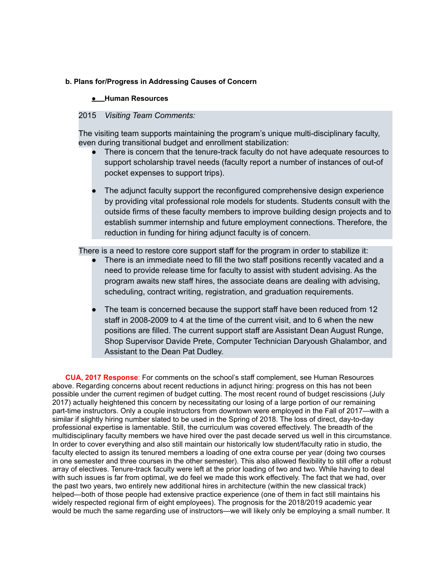#### **b. Plans for/Progress in Addressing Causes of Concern**

#### **● Human Resources**

## 2015 *Visiting Team Comments:*

The visiting team supports maintaining the program's unique multi-disciplinary faculty, even during transitional budget and enrollment stabilization:

- There is concern that the tenure-track faculty do not have adequate resources to support scholarship travel needs (faculty report a number of instances of out-of pocket expenses to support trips).
- The adjunct faculty support the reconfigured comprehensive design experience by providing vital professional role models for students. Students consult with the outside firms of these faculty members to improve building design projects and to establish summer internship and future employment connections. Therefore, the reduction in funding for hiring adjunct faculty is of concern.

There is a need to restore core support staff for the program in order to stabilize it:

- There is an immediate need to fill the two staff positions recently vacated and a need to provide release time for faculty to assist with student advising. As the program awaits new staff hires, the associate deans are dealing with advising, scheduling, contract writing, registration, and graduation requirements.
- The team is concerned because the support staff have been reduced from 12 staff in 2008-2009 to 4 at the time of the current visit, and to 6 when the new positions are filled. The current support staff are Assistant Dean August Runge, Shop Supervisor Davide Prete, Computer Technician Daryoush Ghalambor, and Assistant to the Dean Pat Dudley.

**CUA, 2017 Response**: For comments on the school's staff complement, see Human Resources above. Regarding concerns about recent reductions in adjunct hiring: progress on this has not been possible under the current regimen of budget cutting. The most recent round of budget rescissions (July 2017) actually heightened this concern by necessitating our losing of a large portion of our remaining part-time instructors. Only a couple instructors from downtown were employed in the Fall of 2017—with a similar if slightly hiring number slated to be used in the Spring of 2018. The loss of direct, day-to-day professional expertise is lamentable. Still, the curriculum was covered effectively. The breadth of the multidisciplinary faculty members we have hired over the past decade served us well in this circumstance. In order to cover everything and also still maintain our historically low student/faculty ratio in studio, the faculty elected to assign its tenured members a loading of one extra course per year (doing two courses in one semester and three courses in the other semester). This also allowed flexibility to still offer a robust array of electives. Tenure-track faculty were left at the prior loading of two and two. While having to deal with such issues is far from optimal, we do feel we made this work effectively. The fact that we had, over the past two years, two entirely new additional hires in architecture (within the new classical track) helped—both of those people had extensive practice experience (one of them in fact still maintains his widely respected regional firm of eight employees). The prognosis for the 2018/2019 academic year would be much the same regarding use of instructors—we will likely only be employing a small number. It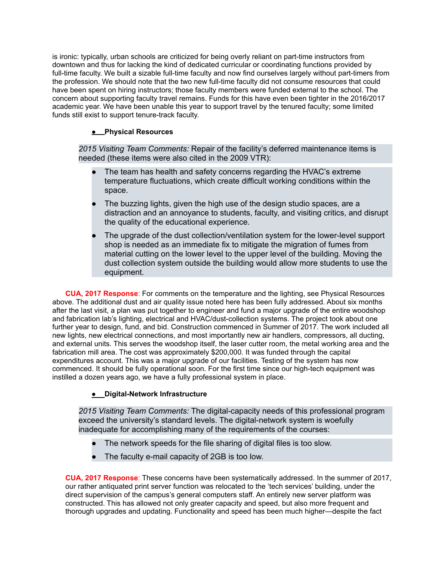is ironic: typically, urban schools are criticized for being overly reliant on part-time instructors from downtown and thus for lacking the kind of dedicated curricular or coordinating functions provided by full-time faculty. We built a sizable full-time faculty and now find ourselves largely without part-timers from the profession. We should note that the two new full-time faculty did not consume resources that could have been spent on hiring instructors; those faculty members were funded external to the school. The concern about supporting faculty travel remains. Funds for this have even been tighter in the 2016/2017 academic year. We have been unable this year to support travel by the tenured faculty; some limited funds still exist to support tenure-track faculty.

## **● Physical Resources**

*2015 Visiting Team Comments:* Repair of the facility's deferred maintenance items is needed (these items were also cited in the 2009 VTR):

- The team has health and safety concerns regarding the HVAC's extreme temperature fluctuations, which create difficult working conditions within the space.
- The buzzing lights, given the high use of the design studio spaces, are a distraction and an annoyance to students, faculty, and visiting critics, and disrupt the quality of the educational experience.
- The upgrade of the dust collection/ventilation system for the lower-level support shop is needed as an immediate fix to mitigate the migration of fumes from material cutting on the lower level to the upper level of the building. Moving the dust collection system outside the building would allow more students to use the equipment.

**CUA, 2017 Response**: For comments on the temperature and the lighting, see Physical Resources above. The additional dust and air quality issue noted here has been fully addressed. About six months after the last visit, a plan was put together to engineer and fund a major upgrade of the entire woodshop and fabrication lab's lighting, electrical and HVAC/dust-collection systems. The project took about one further year to design, fund, and bid. Construction commenced in Summer of 2017. The work included all new lights, new electrical connections, and most importantly new air handlers, compressors, all ducting, and external units. This serves the woodshop itself, the laser cutter room, the metal working area and the fabrication mill area. The cost was approximately \$200,000. It was funded through the capital expenditures account. This was a major upgrade of our facilities. Testing of the system has now commenced. It should be fully operational soon. For the first time since our high-tech equipment was instilled a dozen years ago, we have a fully professional system in place.

## **● Digital-Network Infrastructure**

*2015 Visiting Team Comments:* The digital-capacity needs of this professional program exceed the university's standard levels. The digital-network system is woefully inadequate for accomplishing many of the requirements of the courses:

- The network speeds for the file sharing of digital files is too slow.
- The faculty e-mail capacity of 2GB is too low.

**CUA, 2017 Response**: These concerns have been systematically addressed. In the summer of 2017, our rather antiquated print server function was relocated to the 'tech services' building, under the direct supervision of the campus's general computers staff. An entirely new server platform was constructed. This has allowed not only greater capacity and speed, but also more frequent and thorough upgrades and updating. Functionality and speed has been much higher—despite the fact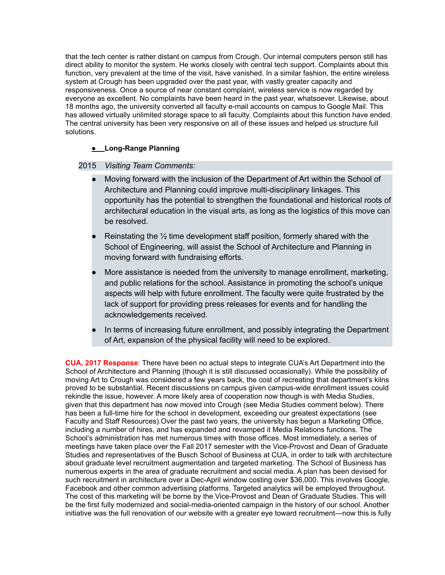that the tech center is rather distant on campus from Crough. Our internal computers person still has direct ability to monitor the system. He works closely with central tech support. Complaints about this function, very prevalent at the time of the visit, have vanished. In a similar fashion, the entire wireless system at Crough has been upgraded over the past year, with vastly greater capacity and responsiveness. Once a source of near constant complaint, wireless service is now regarded by everyone as excellent. No complaints have been heard in the past year, whatsoever. Likewise, about 18 months ago, the university converted all faculty e-mail accounts on campus to Google Mail. This has allowed virtually unlimited storage space to all faculty. Complaints about this function have ended. The central university has been very responsive on all of these issues and helped us structure full solutions.

## **● Long-Range Planning**

#### 2015 *Visiting Team Comments:*

- Moving forward with the inclusion of the Department of Art within the School of Architecture and Planning could improve multi-disciplinary linkages. This opportunity has the potential to strengthen the foundational and historical roots of architectural education in the visual arts, as long as the logistics of this move can be resolved.
- Reinstating the  $\frac{1}{2}$  time development staff position, formerly shared with the School of Engineering, will assist the School of Architecture and Planning in moving forward with fundraising efforts.
- More assistance is needed from the university to manage enrollment, marketing, and public relations for the school. Assistance in promoting the school's unique aspects will help with future enrollment. The faculty were quite frustrated by the lack of support for providing press releases for events and for handling the acknowledgements received.
- In terms of increasing future enrollment, and possibly integrating the Department of Art, expansion of the physical facility will need to be explored.

**CUA, 2017 Response**: There have been no actual steps to integrate CUA's Art Department into the School of Architecture and Planning (though it is still discussed occasionally). While the possibility of moving Art to Crough was considered a few years back, the cost of recreating that department's kilns proved to be substantial. Recent discussions on campus given campus-wide enrollment issues could rekindle the issue, however. A more likely area of cooperation now though is with Media Studies, given that this department has now moved into Crough (see Media Studies comment below). There has been a full-time hire for the school in development, exceeding our greatest expectations (see Faculty and Staff Resources).Over the past two years, the university has begun a Marketing Office, including a number of hires, and has expanded and revamped it Media Relations functions. The School's administration has met numerous times with those offices. Most immediately, a series of meetings have taken place over the Fall 2017 semester with the Vice-Provost and Dean of Graduate Studies and representatives of the Busch School of Business at CUA, in order to talk with architecture about graduate level recruitment augmentation and targeted marketing. The School of Business has numerous experts in the area of graduate recruitment and social media. A plan has been devised for such recruitment in architecture over a Dec-April window costing over \$36,000. This involves Google, Facebook and other common advertising platforms. Targeted analytics will be employed throughout. The cost of this marketing will be borne by the Vice-Provost and Dean of Graduate Studies. This will be the first fully modernized and social-media-oriented campaign in the history of our school. Another initiative was the full renovation of our website with a greater eye toward recruitment—now this is fully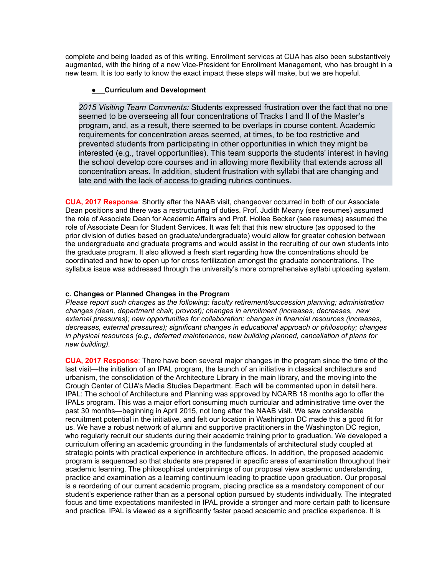complete and being loaded as of this writing. Enrollment services at CUA has also been substantively augmented, with the hiring of a new Vice-President for Enrollment Management, who has brought in a new team. It is too early to know the exact impact these steps will make, but we are hopeful.

#### **● Curriculum and Development**

*2015 Visiting Team Comments:* Students expressed frustration over the fact that no one seemed to be overseeing all four concentrations of Tracks I and II of the Master's program, and, as a result, there seemed to be overlaps in course content. Academic requirements for concentration areas seemed, at times, to be too restrictive and prevented students from participating in other opportunities in which they might be interested (e.g., travel opportunities). This team supports the students' interest in having the school develop core courses and in allowing more flexibility that extends across all concentration areas. In addition, student frustration with syllabi that are changing and late and with the lack of access to grading rubrics continues.

**CUA, 2017 Response**: Shortly after the NAAB visit, changeover occurred in both of our Associate Dean positions and there was a restructuring of duties. Prof. Judith Meany (see resumes) assumed the role of Associate Dean for Academic Affairs and Prof. Hollee Becker (see resumes) assumed the role of Associate Dean for Student Services. It was felt that this new structure (as opposed to the prior division of duties based on graduate/undergraduate) would allow for greater cohesion between the undergraduate and graduate programs and would assist in the recruiting of our own students into the graduate program. It also allowed a fresh start regarding how the concentrations should be coordinated and how to open up for cross fertilization amongst the graduate concentrations. The syllabus issue was addressed through the university's more comprehensive syllabi uploading system.

#### **c. Changes or Planned Changes in the Program**

*Please report such changes as the following: faculty retirement/succession planning; administration changes (dean, department chair, provost); changes in enrollment (increases, decreases, new external pressures); new opportunities for collaboration; changes in financial resources (increases, decreases, external pressures); significant changes in educational approach or philosophy; changes in physical resources (e.g., deferred maintenance, new building planned, cancellation of plans for new building).*

**CUA, 2017 Response**: There have been several major changes in the program since the time of the last visit—the initiation of an IPAL program, the launch of an initiative in classical architecture and urbanism, the consolidation of the Architecture Library in the main library, and the moving into the Crough Center of CUA's Media Studies Department. Each will be commented upon in detail here. IPAL: The school of Architecture and Planning was approved by NCARB 18 months ago to offer the IPALs program. This was a major effort consuming much curricular and administrative time over the past 30 months—beginning in April 2015, not long after the NAAB visit. We saw considerable recruitment potential in the initiative, and felt our location in Washington DC made this a good fit for us. We have a robust network of alumni and supportive practitioners in the Washington DC region, who regularly recruit our students during their academic training prior to graduation. We developed a curriculum offering an academic grounding in the fundamentals of architectural study coupled at strategic points with practical experience in architecture offices. In addition, the proposed academic program is sequenced so that students are prepared in specific areas of examination throughout their academic learning. The philosophical underpinnings of our proposal view academic understanding, practice and examination as a learning continuum leading to practice upon graduation. Our proposal is a reordering of our current academic program, placing practice as a mandatory component of our student's experience rather than as a personal option pursued by students individually. The integrated focus and time expectations manifested in IPAL provide a stronger and more certain path to licensure and practice. IPAL is viewed as a significantly faster paced academic and practice experience. It is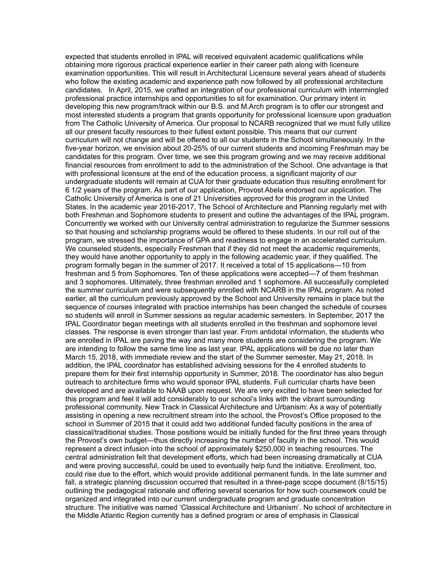expected that students enrolled in IPAL will received equivalent academic qualifications while obtaining more rigorous practical experience earlier in their career path along with licensure examination opportunities. This will result in Architectural Licensure several years ahead of students who follow the existing academic and experience path now followed by all professional architecture candidates. In April, 2015, we crafted an integration of our professional curriculum with intermingled professional practice internships and opportunities to sit for examination. Our primary intent in developing this new program/track within our B.S. and M.Arch program is to offer our strongest and most interested students a program that grants opportunity for professional licensure upon graduation from The Catholic University of America. Our proposal to NCARB recognized that we must fully utilize all our present faculty resources to their fullest extent possible. This means that our current curriculum will not change and will be offered to all our students in the School simultaneously. In the five-year horizon, we envision about 20-25% of our current students and incoming Freshman may be candidates for this program. Over time, we see this program growing and we may receive additional financial resources from enrollment to add to the administration of the School. One advantage is that with professional licensure at the end of the education process, a significant majority of our undergraduate students will remain at CUA for their graduate education thus resulting enrollment for 6 1/2 years of the program. As part of our application, Provost Abela endorsed our application. The Catholic University of America is one of 21 Universities approved for this program in the United States. In the academic year 2016-2017, The School of Architecture and Planning regularly met with both Freshman and Sophomore students to present and outline the advantages of the IPAL program. Concurrently we worked with our University central administration to regularize the Summer sessions so that housing and scholarship programs would be offered to these students. In our roll out of the program, we stressed the importance of GPA and readiness to engage in an accelerated curriculum. We counseled students, especially Freshman that if they did not meet the academic requirements, they would have another opportunity to apply in the following academic year, if they qualified. The program formally began in the summer of 2017. It received a total of 15 applications—10 from freshman and 5 from Sophomores. Ten of these applications were accepted—7 of them freshman and 3 sophomores. Ultimately, three freshman enrolled and 1 sophomore. All successfully completed the summer curriculum and were subsequently enrolled with NCARB in the IPAL program. As noted earlier, all the curriculum previously approved by the School and University remains in place but the sequence of courses integrated with practice internships has been changed the schedule of courses so students will enroll in Summer sessions as regular academic semesters. In September, 2017 the IPAL Coordinator began meetings with all students enrolled in the freshman and sophomore level classes. The response is even stronger than last year. From antidotal information, the students who are enrolled in IPAL are paving the way and many more students are considering the program. We are intending to follow the same time line as last year. IPAL applications will be due no later than March 15, 2018, with immediate review and the start of the Summer semester, May 21, 2018. In addition, the IPAL coordinator has established advising sessions for the 4 enrolled students to prepare them for their first internship opportunity in Summer, 2018. The coordinator has also begun outreach to architecture firms who would sponsor IPAL students. Full curricular charts have been developed and are available to NAAB upon request. We are very excited to have been selected for this program and feel it will add considerably to our school's links with the vibrant surrounding professional community. New Track in Classical Architecture and Urbanism: As a way of potentially assisting in opening a new recruitment stream into the school, the Provost's Office proposed to the school in Summer of 2015 that it could add two additional funded faculty positions in the area of classical/traditional studies. Those positions would be initially funded for the first three years through the Provost's own budget—thus directly increasing the number of faculty in the school. This would represent a direct infusion into the school of approximately \$250,000 in teaching resources. The central administration felt that development efforts, which had been increasing dramatically at CUA and were proving successful, could be used to eventually help fund the initiative. Enrollment, too, could rise due to the effort, which would provide additional permanent funds. In the late summer and fall, a strategic planning discussion occurred that resulted in a three-page scope document (8/15/15) outlining the pedagogical rationale and offering several scenarios for how such coursework could be organized and integrated into our current undergraduate program and graduate concentration structure. The initiative was named 'Classical Architecture and Urbanism'. No school of architecture in the Middle Atlantic Region currently has a defined program or area of emphasis in Classical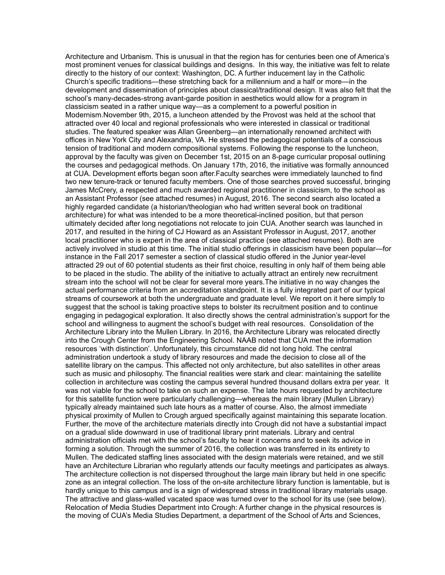Architecture and Urbanism. This is unusual in that the region has for centuries been one of America's most prominent venues for classical buildings and designs. In this way, the initiative was felt to relate directly to the history of our context: Washington, DC. A further inducement lay in the Catholic Church's specific traditions—these stretching back for a millennium and a half or more—in the development and dissemination of principles about classical/traditional design. It was also felt that the school's many-decades-strong avant-garde position in aesthetics would allow for a program in classicism seated in a rather unique way—as a complement to a powerful position in Modernism.November 9th, 2015, a luncheon attended by the Provost was held at the school that attracted over 40 local and regional professionals who were interested in classical or traditional studies. The featured speaker was Allan Greenberg—an internationally renowned architect with offices in New York City and Alexandria, VA. He stressed the pedagogical potentials of a conscious tension of traditional and modern compositional systems. Following the response to the luncheon, approval by the faculty was given on December 1st, 2015 on an 8-page curricular proposal outlining the courses and pedagogical methods. On January 17th, 2016, the initiative was formally announced at CUA. Development efforts began soon after.Faculty searches were immediately launched to find two new tenure-track or tenured faculty members. One of those searches proved successful, bringing James McCrery, a respected and much awarded regional practitioner in classicism, to the school as an Assistant Professor (see attached resumes) in August, 2016. The second search also located a highly regarded candidate (a historian/theologian who had written several book on traditional architecture) for what was intended to be a more theoretical-inclined position, but that person ultimately decided after long negotiations not relocate to join CUA. Another search was launched in 2017, and resulted in the hiring of CJ Howard as an Assistant Professor in August, 2017, another local practitioner who is expert in the area of classical practice (see attached resumes). Both are actively involved in studio at this time. The initial studio offerings in classicism have been popular—for instance in the Fall 2017 semester a section of classical studio offered in the Junior year-level attracted 29 out of 60 potential students as their first choice, resulting in only half of them being able to be placed in the studio. The ability of the initiative to actually attract an entirely new recruitment stream into the school will not be clear for several more years.The initiative in no way changes the actual performance criteria from an accreditation standpoint. It is a fully integrated part of our typical streams of coursework at both the undergraduate and graduate level. We report on it here simply to suggest that the school is taking proactive steps to bolster its recruitment position and to continue engaging in pedagogical exploration. It also directly shows the central administration's support for the school and willingness to augment the school's budget with real resources. Consolidation of the Architecture Library into the Mullen Library. In 2016, the Architecture Library was relocated directly into the Crough Center from the Engineering School. NAAB noted that CUA met the information resources 'with distinction'. Unfortunately, this circumstance did not long hold. The central administration undertook a study of library resources and made the decision to close all of the satellite library on the campus. This affected not only architecture, but also satellites in other areas such as music and philosophy. The financial realities were stark and clear: maintaining the satellite collection in architecture was costing the campus several hundred thousand dollars extra per year. It was not viable for the school to take on such an expense. The late hours requested by architecture for this satellite function were particularly challenging—whereas the main library (Mullen Library) typically already maintained such late hours as a matter of course. Also, the almost immediate physical proximity of Mullen to Crough argued specifically against maintaining this separate location. Further, the move of the architecture materials directly into Crough did not have a substantial impact on a gradual slide downward in use of traditional library print materials. Library and central administration officials met with the school's faculty to hear it concerns and to seek its advice in forming a solution. Through the summer of 2016, the collection was transferred in its entirety to Mullen. The dedicated staffing lines associated with the design materials were retained, and we still have an Architecture Librarian who regularly attends our faculty meetings and participates as always. The architecture collection is not dispersed throughout the large main library but held in one specific zone as an integral collection. The loss of the on-site architecture library function is lamentable, but is hardly unique to this campus and is a sign of widespread stress in traditional library materials usage. The attractive and glass-walled vacated space was turned over to the school for its use (see below). Relocation of Media Studies Department into Crough: A further change in the physical resources is the moving of CUA's Media Studies Department, a department of the School of Arts and Sciences,